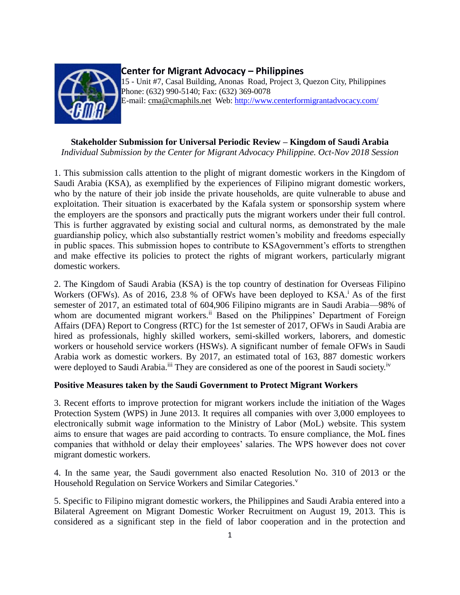

## **Center for Migrant Advocacy – Philippines**

15 - Unit #7, Casal Building, Anonas Road, Project 3, Quezon City, Philippines Phone: (632) 990-5140; Fax: (632) 369-0078 E-mail: [cma@cmaphils.net](mailto:cma@cmaphils.org) Web: [http://www.centerformigrantadvocacy.com/](http://www.pinoy-abroad.net/lungga/index.shtml?apc=----1-)

## **Stakeholder Submission for Universal Periodic Review – Kingdom of Saudi Arabia**

*Individual Submission by the Center for Migrant Advocacy Philippine. Oct-Nov 2018 Session*

1. This submission calls attention to the plight of migrant domestic workers in the Kingdom of Saudi Arabia (KSA), as exemplified by the experiences of Filipino migrant domestic workers, who by the nature of their job inside the private households, are quite vulnerable to abuse and exploitation. Their situation is exacerbated by the Kafala system or sponsorship system where the employers are the sponsors and practically puts the migrant workers under their full control. This is further aggravated by existing social and cultural norms, as demonstrated by the male guardianship policy, which also substantially restrict women's mobility and freedoms especially in public spaces. This submission hopes to contribute to KSAgovernment's efforts to strengthen and make effective its policies to protect the rights of migrant workers, particularly migrant domestic workers.

2. The Kingdom of Saudi Arabia (KSA) is the top country of destination for Overseas Filipino Workers (OFWs). As of 2016, 23.8 % of OFWs have been deployed to  $KSA<sup>i</sup>$ . As of the first semester of 2017, an estimated total of 604,906 Filipino migrants are in Saudi Arabia—98% of whom are documented migrant workers.<sup>ii</sup> Based on the Philippines' Department of Foreign Affairs (DFA) Report to Congress (RTC) for the 1st semester of 2017, OFWs in Saudi Arabia are hired as professionals, highly skilled workers, semi-skilled workers, laborers, and domestic workers or household service workers (HSWs). A significant number of female OFWs in Saudi Arabia work as domestic workers. By 2017, an estimated total of 163, 887 domestic workers were deployed to Saudi Arabia.<sup>iii</sup> They are considered as one of the poorest in Saudi society.<sup>iv</sup>

## **Positive Measures taken by the Saudi Government to Protect Migrant Workers**

3. Recent efforts to improve protection for migrant workers include the initiation of the Wages Protection System (WPS) in June 2013. It requires all companies with over 3,000 employees to electronically submit wage information to the Ministry of Labor (MoL) website. This system aims to ensure that wages are paid according to contracts. To ensure compliance, the MoL fines companies that withhold or delay their employees' salaries. The WPS however does not cover migrant domestic workers.

4. In the same year, the Saudi government also enacted Resolution No. 310 of 2013 or the Household Regulation on Service Workers and Similar Categories.<sup>v</sup>

5. Specific to Filipino migrant domestic workers, the Philippines and Saudi Arabia entered into a Bilateral Agreement on Migrant Domestic Worker Recruitment on August 19, 2013. This is considered as a significant step in the field of labor cooperation and in the protection and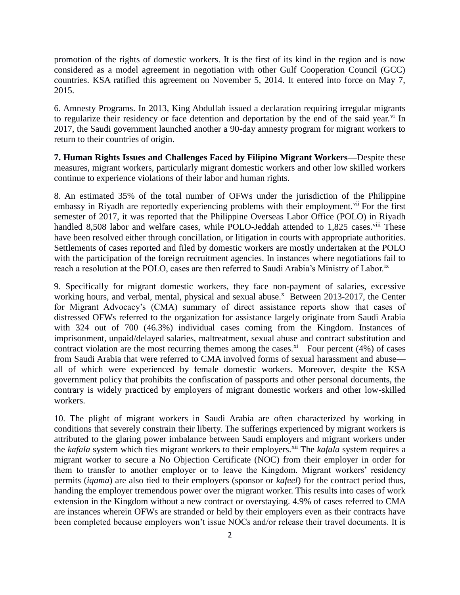promotion of the rights of domestic workers. It is the first of its kind in the region and is now considered as a model agreement in negotiation with other Gulf Cooperation Council (GCC) countries. KSA ratified this agreement on November 5, 2014. It entered into force on May 7, 2015.

6. Amnesty Programs. In 2013, King Abdullah issued a declaration requiring irregular migrants to regularize their residency or face detention and deportation by the end of the said year.<sup>vi</sup> In 2017, the Saudi government launched another a 90-day amnesty program for migrant workers to return to their countries of origin.

**7. Human Rights Issues and Challenges Faced by Filipino Migrant Workers—**Despite these measures, migrant workers, particularly migrant domestic workers and other low skilled workers continue to experience violations of their labor and human rights.

8. An estimated 35% of the total number of OFWs under the jurisdiction of the Philippine embassy in Riyadh are reportedly experiencing problems with their employment.<sup>vii</sup> For the first semester of 2017, it was reported that the Philippine Overseas Labor Office (POLO) in Riyadh handled 8,508 labor and welfare cases, while POLO-Jeddah attended to 1,825 cases.<sup>viii</sup> These have been resolved either through concillation, or litigation in courts with appropriate authorities. Settlements of cases reported and filed by domestic workers are mostly undertaken at the POLO with the participation of the foreign recruitment agencies. In instances where negotiations fail to reach a resolution at the POLO, cases are then referred to Saudi Arabia's Ministry of Labor.<sup>ix</sup>

9. Specifically for migrant domestic workers, they face non-payment of salaries, excessive working hours, and verbal, mental, physical and sexual abuse.<sup>x</sup> Between 2013-2017, the Center for Migrant Advocacy's (CMA) summary of direct assistance reports show that cases of distressed OFWs referred to the organization for assistance largely originate from Saudi Arabia with 324 out of 700 (46.3%) individual cases coming from the Kingdom. Instances of imprisonment, unpaid/delayed salaries, maltreatment, sexual abuse and contract substitution and contract violation are the most recurring themes among the cases.<sup>xi</sup> Four percent (4%) of cases from Saudi Arabia that were referred to CMA involved forms of sexual harassment and abuse all of which were experienced by female domestic workers. Moreover, despite the KSA government policy that prohibits the confiscation of passports and other personal documents, the contrary is widely practiced by employers of migrant domestic workers and other low-skilled workers.

10. The plight of migrant workers in Saudi Arabia are often characterized by working in conditions that severely constrain their liberty. The sufferings experienced by migrant workers is attributed to the glaring power imbalance between Saudi employers and migrant workers under the *kafala* system which ties migrant workers to their employers.<sup>xii</sup> The *kafala* system requires a migrant worker to secure a No Objection Certificate (NOC) from their employer in order for them to transfer to another employer or to leave the Kingdom. Migrant workers' residency permits (*iqama*) are also tied to their employers (sponsor or *kafeel*) for the contract period thus, handing the employer tremendous power over the migrant worker. This results into cases of work extension in the Kingdom without a new contract or overstaying. 4.9% of cases referred to CMA are instances wherein OFWs are stranded or held by their employers even as their contracts have been completed because employers won't issue NOCs and/or release their travel documents. It is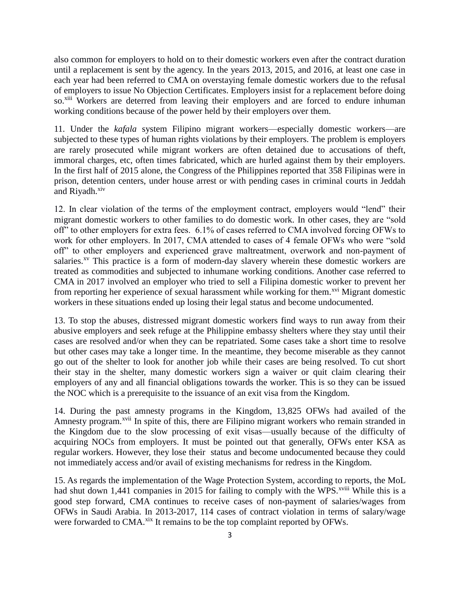also common for employers to hold on to their domestic workers even after the contract duration until a replacement is sent by the agency. In the years 2013, 2015, and 2016, at least one case in each year had been referred to CMA on overstaying female domestic workers due to the refusal of employers to issue No Objection Certificates. Employers insist for a replacement before doing so.<sup>xiii</sup> Workers are deterred from leaving their employers and are forced to endure inhuman working conditions because of the power held by their employers over them.

11. Under the *kafala* system Filipino migrant workers—especially domestic workers—are subjected to these types of human rights violations by their employers. The problem is employers are rarely prosecuted while migrant workers are often detained due to accusations of theft, immoral charges, etc, often times fabricated, which are hurled against them by their employers. In the first half of 2015 alone, the Congress of the Philippines reported that 358 Filipinas were in prison, detention centers, under house arrest or with pending cases in criminal courts in Jeddah and Riyadh.<sup>xiv</sup>

12. In clear violation of the terms of the employment contract, employers would "lend" their migrant domestic workers to other families to do domestic work. In other cases, they are "sold off" to other employers for extra fees. 6.1% of cases referred to CMA involved forcing OFWs to work for other employers. In 2017, CMA attended to cases of 4 female OFWs who were "sold off" to other employers and experienced grave maltreatment, overwork and non-payment of salaries.<sup>xv</sup> This practice is a form of modern-day slavery wherein these domestic workers are treated as commodities and subjected to inhumane working conditions. Another case referred to CMA in 2017 involved an employer who tried to sell a Filipina domestic worker to prevent her from reporting her experience of sexual harassment while working for them.<sup>xvi</sup> Migrant domestic workers in these situations ended up losing their legal status and become undocumented.

13. To stop the abuses, distressed migrant domestic workers find ways to run away from their abusive employers and seek refuge at the Philippine embassy shelters where they stay until their cases are resolved and/or when they can be repatriated. Some cases take a short time to resolve but other cases may take a longer time. In the meantime, they become miserable as they cannot go out of the shelter to look for another job while their cases are being resolved. To cut short their stay in the shelter, many domestic workers sign a waiver or quit claim clearing their employers of any and all financial obligations towards the worker. This is so they can be issued the NOC which is a prerequisite to the issuance of an exit visa from the Kingdom.

14. During the past amnesty programs in the Kingdom, 13,825 OFWs had availed of the Amnesty program.<sup>xvii</sup> In spite of this, there are Filipino migrant workers who remain stranded in the Kingdom due to the slow processing of exit visas—usually because of the difficulty of acquiring NOCs from employers. It must be pointed out that generally, OFWs enter KSA as regular workers. However, they lose their status and become undocumented because they could not immediately access and/or avail of existing mechanisms for redress in the Kingdom.

15. As regards the implementation of the Wage Protection System, according to reports, the MoL had shut down 1,441 companies in 2015 for failing to comply with the WPS.<sup>xviii</sup> While this is a good step forward, CMA continues to receive cases of non-payment of salaries/wages from OFWs in Saudi Arabia. In 2013-2017, 114 cases of contract violation in terms of salary/wage were forwarded to CMA.<sup>xix</sup> It remains to be the top complaint reported by OFWs.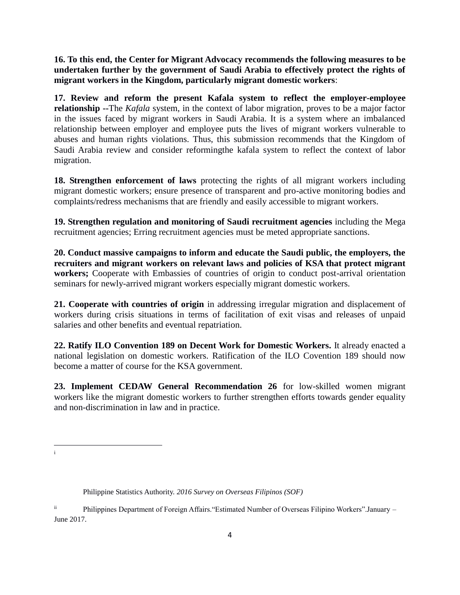**16. To this end, the Center for Migrant Advocacy recommends the following measures to be undertaken further by the government of Saudi Arabia to effectively protect the rights of migrant workers in the Kingdom, particularly migrant domestic workers**:

**17. Review and reform the present Kafala system to reflect the employer-employee relationship --**The *Kafala* system, in the context of labor migration, proves to be a major factor in the issues faced by migrant workers in Saudi Arabia. It is a system where an imbalanced relationship between employer and employee puts the lives of migrant workers vulnerable to abuses and human rights violations. Thus, this submission recommends that the Kingdom of Saudi Arabia review and consider reformingthe kafala system to reflect the context of labor migration.

**18. Strengthen enforcement of laws** protecting the rights of all migrant workers including migrant domestic workers; ensure presence of transparent and pro-active monitoring bodies and complaints/redress mechanisms that are friendly and easily accessible to migrant workers.

**19. Strengthen regulation and monitoring of Saudi recruitment agencies** including the Mega recruitment agencies; Erring recruitment agencies must be meted appropriate sanctions.

**20. Conduct massive campaigns to inform and educate the Saudi public, the employers, the recruiters and migrant workers on relevant laws and policies of KSA that protect migrant workers;** Cooperate with Embassies of countries of origin to conduct post-arrival orientation seminars for newly-arrived migrant workers especially migrant domestic workers.

**21. Cooperate with countries of origin** in addressing irregular migration and displacement of workers during crisis situations in terms of facilitation of exit visas and releases of unpaid salaries and other benefits and eventual repatriation.

**22. Ratify ILO Convention 189 on Decent Work for Domestic Workers.** It already enacted a national legislation on domestic workers. Ratification of the ILO Covention 189 should now become a matter of course for the KSA government.

**23. Implement CEDAW General Recommendation 26** for low-skilled women migrant workers like the migrant domestic workers to further strengthen efforts towards gender equality and non-discrimination in law and in practice.

 $\overline{a}$ i

Philippine Statistics Authority. *2016 Survey on Overseas Filipinos (SOF)*

ii Philippines Department of Foreign Affairs."Estimated Number of Overseas Filipino Workers".January – June 2017.